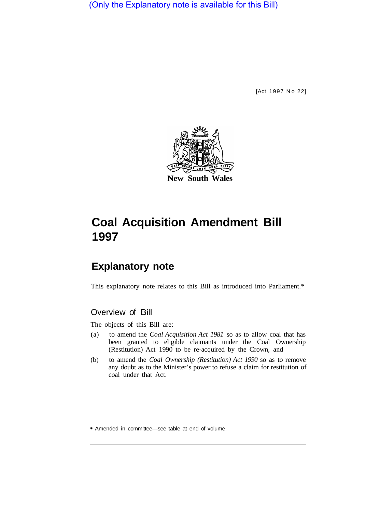(Only the Explanatory note is available for this Bill)

[Act 1997 No 22]



# **Coal Acquisition Amendment Bill 1997**

# **Explanatory note**

This explanatory note relates to this Bill as introduced into Parliament.\*

## Overview of Bill

The objects of this Bill are:

- (a) to amend the *Coal Acquisition Act 1981* so as to allow coal that has been granted to eligible claimants under the Coal Ownership (Restitution) Act 1990 to be re-acquired by the Crown, and
- (b) to amend the *Coal Ownership (Restitution) Act 1990* so as to remove any doubt as to the Minister's power to refuse a claim for restitution of coal under that Act.

<sup>\*</sup> Amended in committee—see table at end of volume.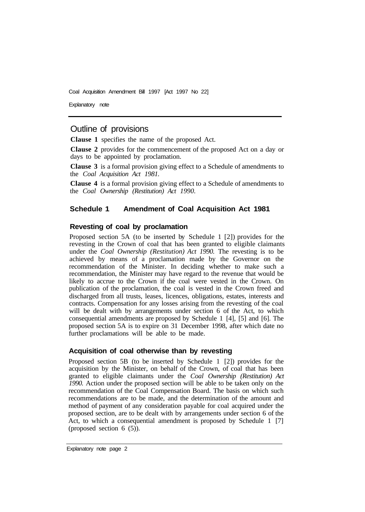Coal Acquisition Amendment Bill 1997 [Act 1997 No 22]

Explanatory note

### Outline of provisions

**Clause 1** specifies the name of the proposed Act.

**Clause 2** provides for the commencement of the proposed Act on a day or days to be appointed by proclamation.

**Clause 3** is a formal provision giving effect to a Schedule of amendments to the *Coal Acquisition Act 1981.* 

**Clause 4** is a formal provision giving effect to a Schedule of amendments to the *Coal Ownership (Restitution) Act 1990.* 

#### **Schedule 1 Amendment of Coal Acquisition Act 1981**

#### **Revesting of coal by proclamation**

Proposed section 5A (to be inserted by Schedule 1 [2]) provides for the revesting in the Crown of coal that has been granted to eligible claimants under the *Coal Ownership (Restitution) Act 1990.* The revesting is to be achieved by means of a proclamation made by the Governor on the recommendation of the Minister. In deciding whether to make such a recommendation, the Minister may have regard to the revenue that would be likely to accrue to the Crown if the coal were vested in the Crown. On publication of the proclamation, the coal is vested in the Crown freed and discharged from all trusts, leases, licences, obligations, estates, interests and contracts. Compensation for any losses arising from the revesting of the coal will be dealt with by arrangements under section 6 of the Act, to which consequential amendments are proposed by Schedule 1 [4], [5] and [6]. The proposed section 5A is to expire on 31 December 1998, after which date no further proclamations will be able to be made.

#### **Acquisition of coal otherwise than by revesting**

Proposed section 5B (to be inserted by Schedule 1 [2]) provides for the acquisition by the Minister, on behalf of the Crown, of coal that has been granted to eligible claimants under the *Coal Ownership (Restitution) Act 1990.* Action under the proposed section will be able to be taken only on the recommendation of the Coal Compensation Board. The basis on which such recommendations are to be made, and the determination of the amount and method of payment of any consideration payable for coal acquired under the proposed section, are to be dealt with by arrangements under section 6 of the Act, to which a consequential amendment is proposed by Schedule 1 [7] (proposed section 6 (5)).